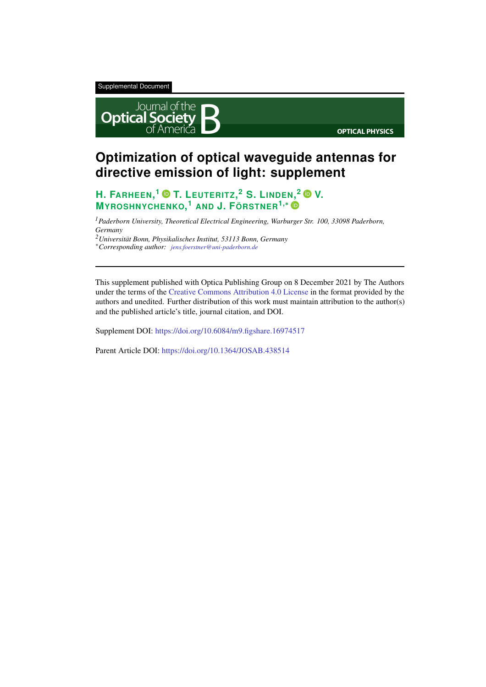Supplemental Document



## **Optimization of optical waveguide antennas for directive emission of light: supplement**

### **H. FARHEEN, <sup>1</sup> T. LEUTERITZ, <sup>2</sup> S. LINDEN, <sup>2</sup> V. MYROSHNYCHENKO, <sup>1</sup> AND J. FÖRSTNER1,**<sup>∗</sup>

*<sup>1</sup>Paderborn University, Theoretical Electrical Engineering, Warburger Str. 100, 33098 Paderborn, Germany*

*<sup>2</sup>Universität Bonn, Physikalisches Institut, 53113 Bonn, Germany*

<sup>∗</sup>*Corresponding author: jens.foerstner@uni-paderborn.de*

This supplement published with Optica Publishing Group on 8 December 2021 by The Authors under the terms of the Creative Commons Attribution 4.0 License in the format provided by the authors and unedited. Further distribution of this work must maintain attribution to the author(s) and the published article's title, journal citation, and DOI.

Supplement DOI: https://doi.org/10.6084/m9.figshare.16974517

Parent Article DOI: https://doi.org/10.1364/JOSAB.438514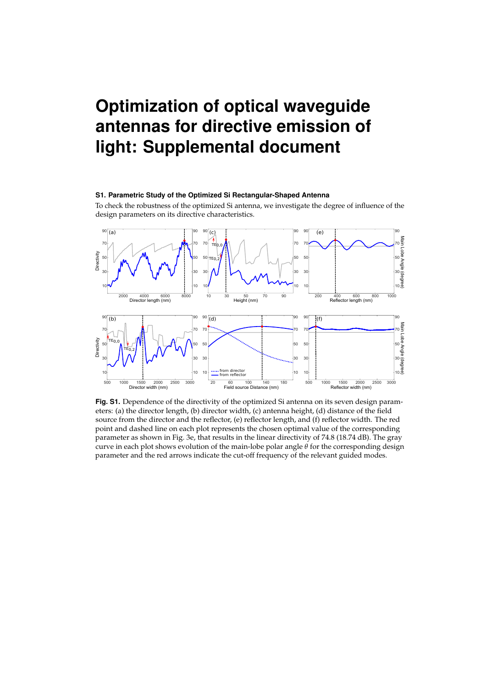# **Optimization of optical waveguide** antennas for directive emission of light: Supplemental document

#### S1. Parametric Study of the Optimized Si Rectangular-Shaped Antenna

To check the robustness of the optimized Si antenna, we investigate the degree of influence of the design parameters on its directive characteristics.



Fig. S1. Dependence of the directivity of the optimized Si antenna on its seven design parameters: (a) the director length, (b) director width, (c) antenna height, (d) distance of the field source from the director and the reflector, (e) reflector length, and (f) reflector width. The red point and dashed line on each plot represents the chosen optimal value of the corresponding parameter as shown in Fig. 3e, that results in the linear directivity of 74.8 (18.74 dB). The gray curve in each plot shows evolution of the main-lobe polar angle  $\theta$  for the corresponding design parameter and the red arrows indicate the cut-off frequency of the relevant guided modes.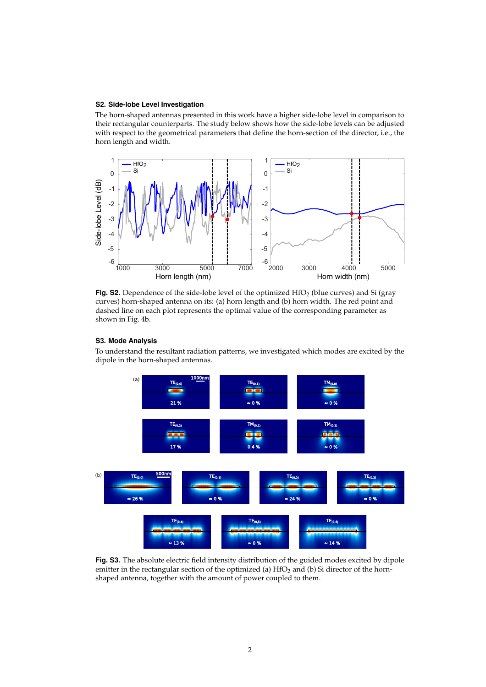#### S2. Side-lobe Level Investigation

The horn-shaped antennas presented in this work have a higher side-lobe level in comparison to their rectangular counterparts. The study below shows how the side-lobe levels can be adjusted with respect to the geometrical parameters that define the horn-section of the director, i.e., the horn length and width.



Fig. S2. Dependence of the side-lobe level of the optimized HfO<sub>2</sub> (blue curves) and Si (gray curves) horn-shaped antenna on its: (a) horn length and (b) horn width. The red point and dashed line on each plot represents the optimal value of the corresponding parameter as shown in Fig. 4b.

#### S3. Mode Analysis

To understand the resultant radiation patterns, we investigated which modes are excited by the dipole in the horn-shaped antennas.



Fig. S3. The absolute electric field intensity distribution of the guided modes excited by dipole emitter in the rectangular section of the optimized (a) HfO<sub>2</sub> and (b) Si director of the hornshaped antenna, together with the amount of power coupled to them.